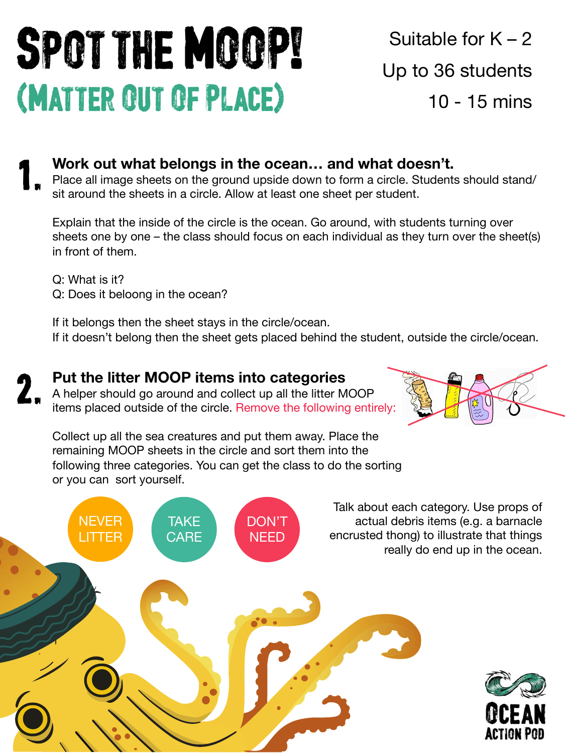## SPOT THE MOOP! (Matter Out Of Place)

Suitable for  $K - 2$ Up to 36 students 10 - 15 mins

## **Work out what belongs in the ocean… and what doesn't.** 1.

Place all image sheets on the ground upside down to form a circle. Students should stand/ sit around the sheets in a circle. Allow at least one sheet per student.

Explain that the inside of the circle is the ocean. Go around, with students turning over sheets one by one – the class should focus on each individual as they turn over the sheet(s) in front of them.

Q: What is it? Q: Does it beloong in the ocean?

2.

If it belongs then the sheet stays in the circle/ocean. If it doesn't belong then the sheet gets placed behind the student, outside the circle/ocean.

## **Put the litter MOOP items into categories**

A helper should go around and collect up all the litter MOOP items placed outside of the circle. Remove the following entirely:



Collect up all the sea creatures and put them away. Place the remaining MOOP sheets in the circle and sort them into the following three categories. You can get the class to do the sorting or you can sort yourself.

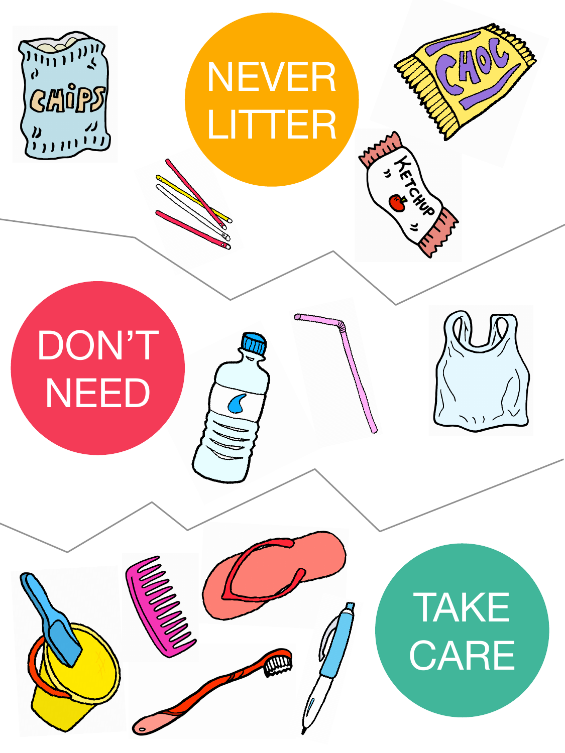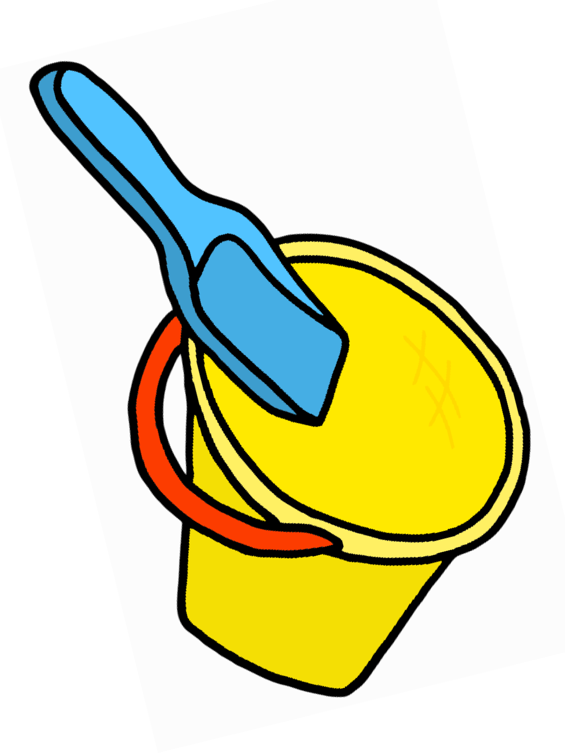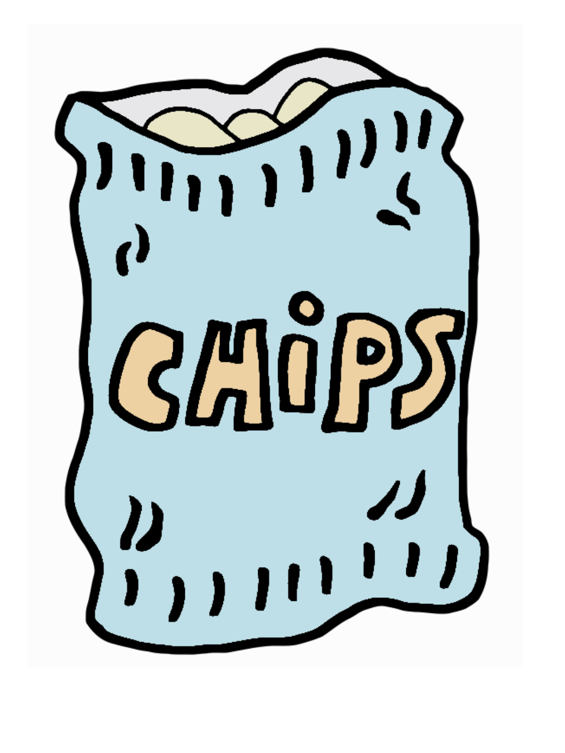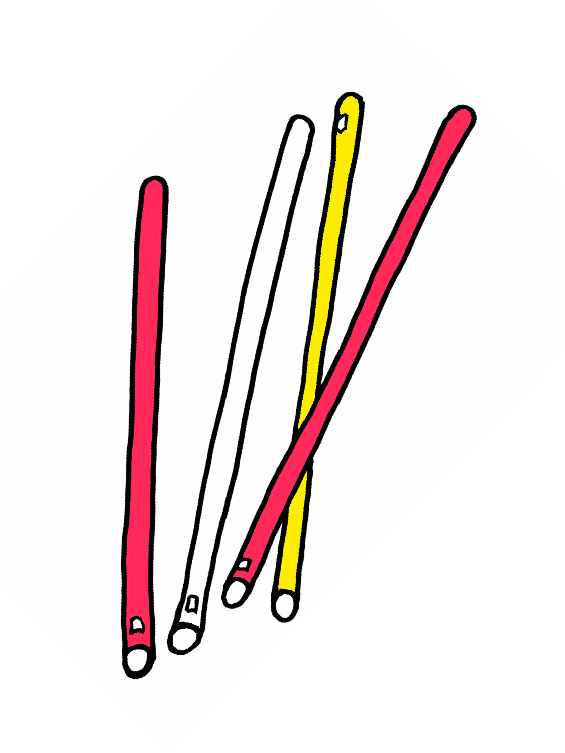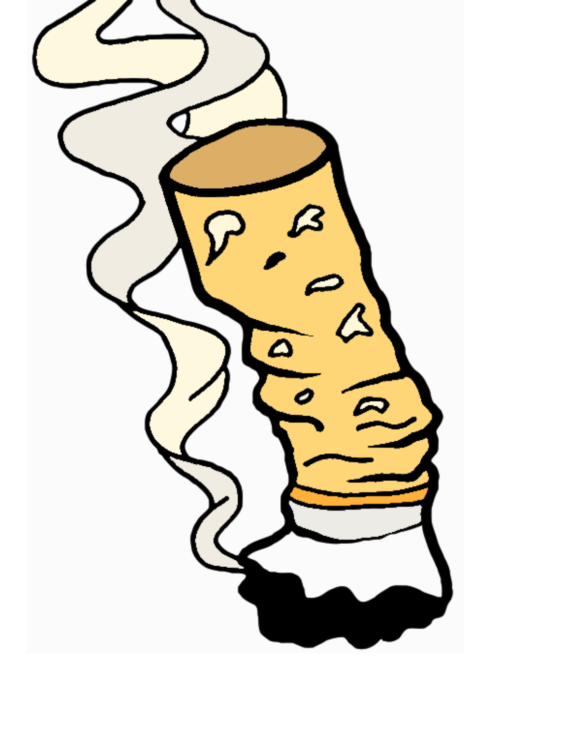![](_page_5_Picture_0.jpeg)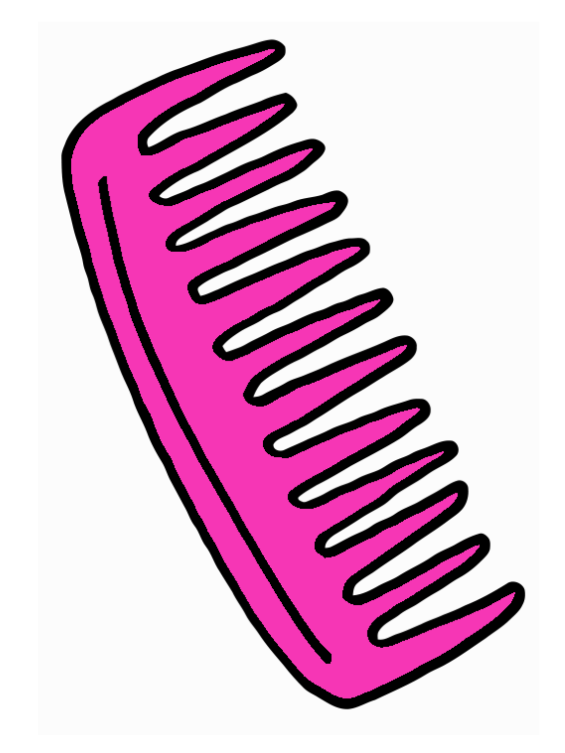![](_page_6_Picture_0.jpeg)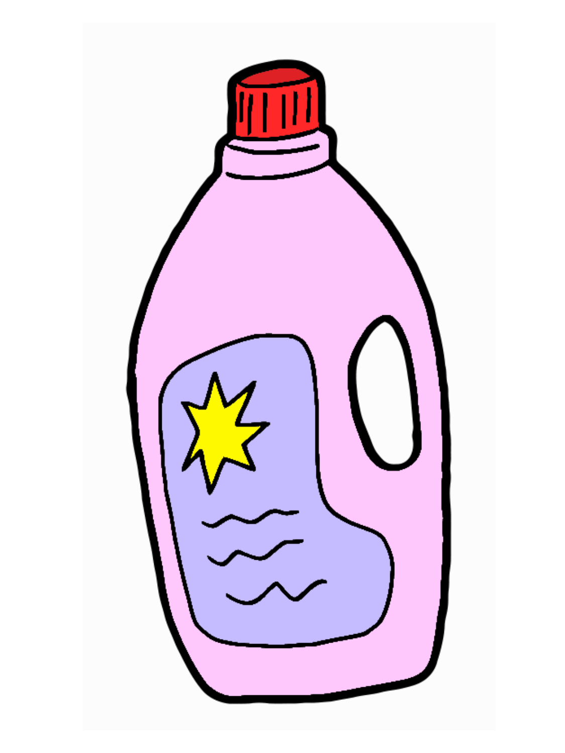![](_page_7_Picture_0.jpeg)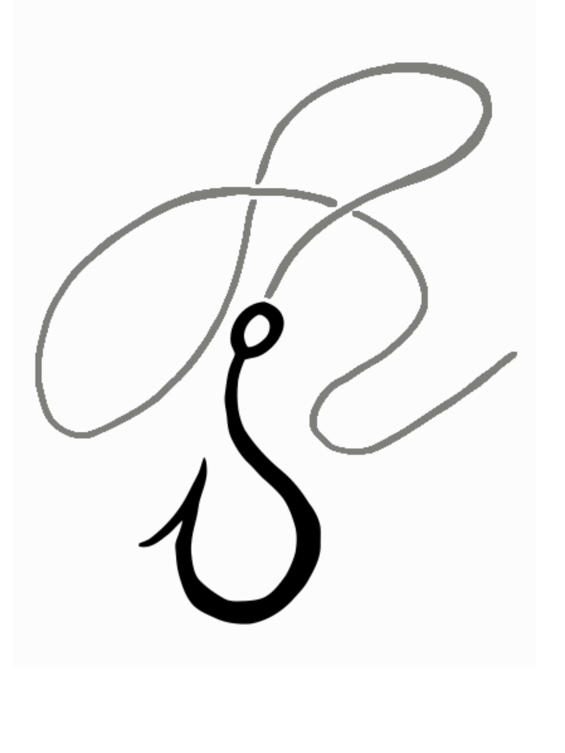![](_page_8_Picture_0.jpeg)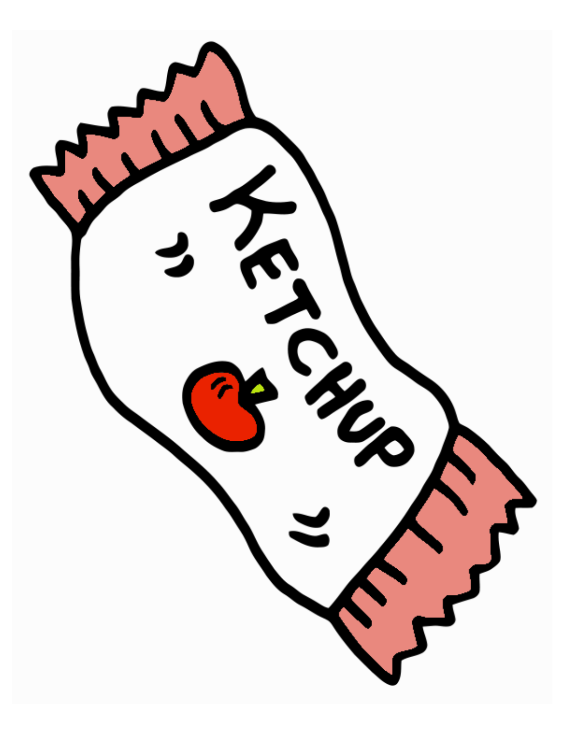![](_page_9_Picture_0.jpeg)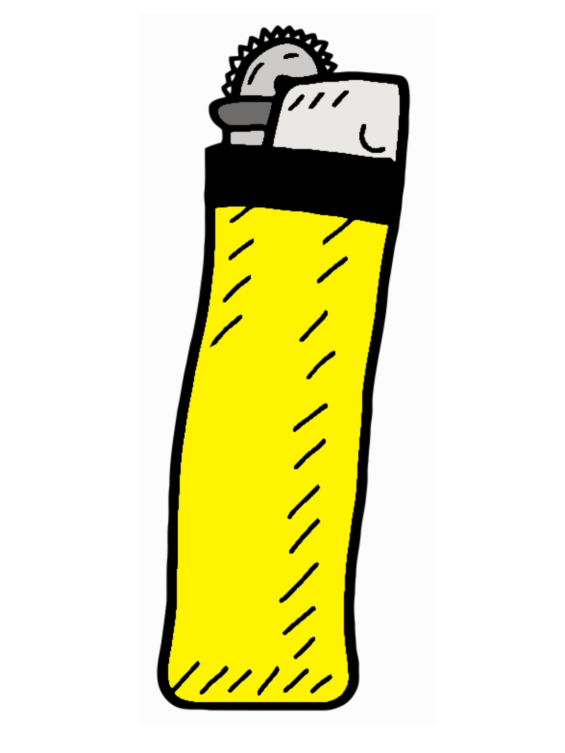![](_page_10_Picture_0.jpeg)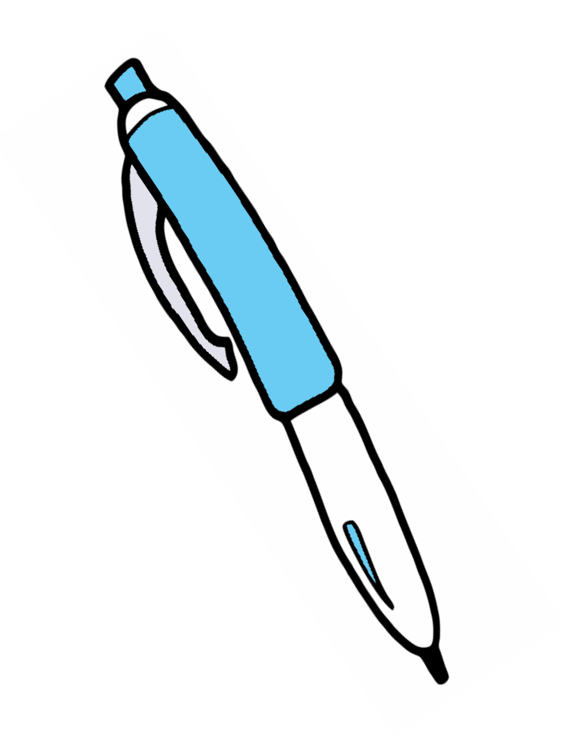![](_page_11_Picture_0.jpeg)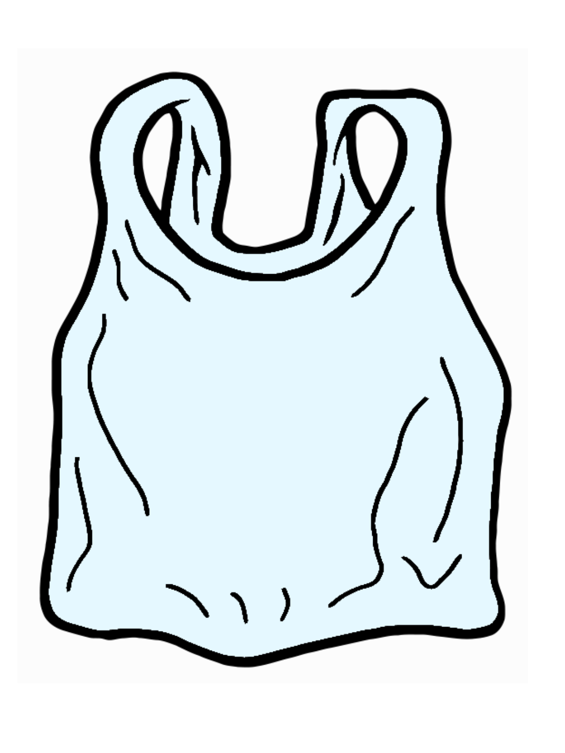![](_page_12_Picture_0.jpeg)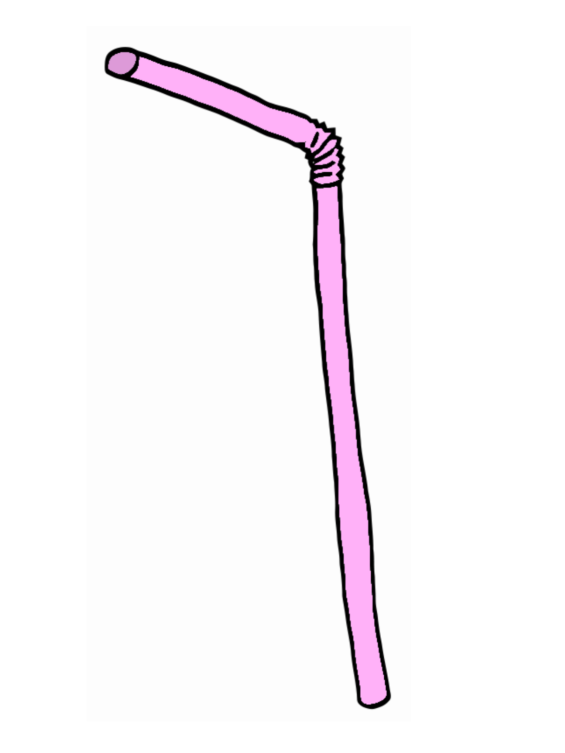![](_page_13_Picture_0.jpeg)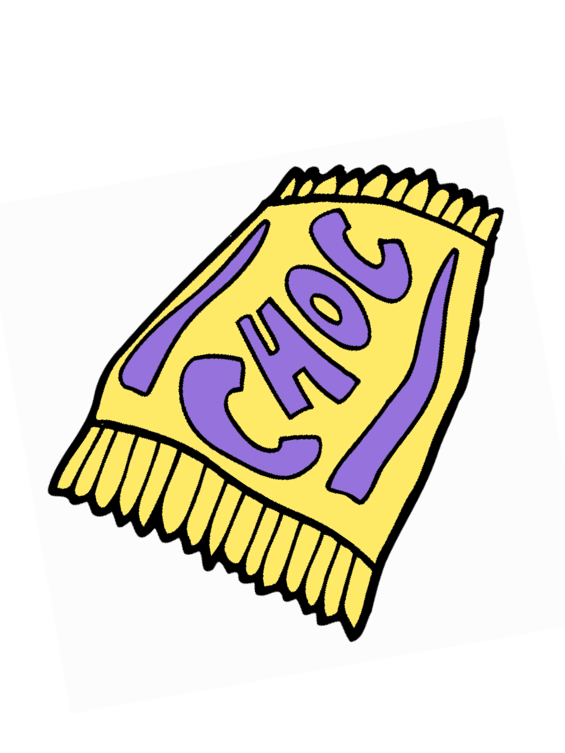![](_page_14_Picture_0.jpeg)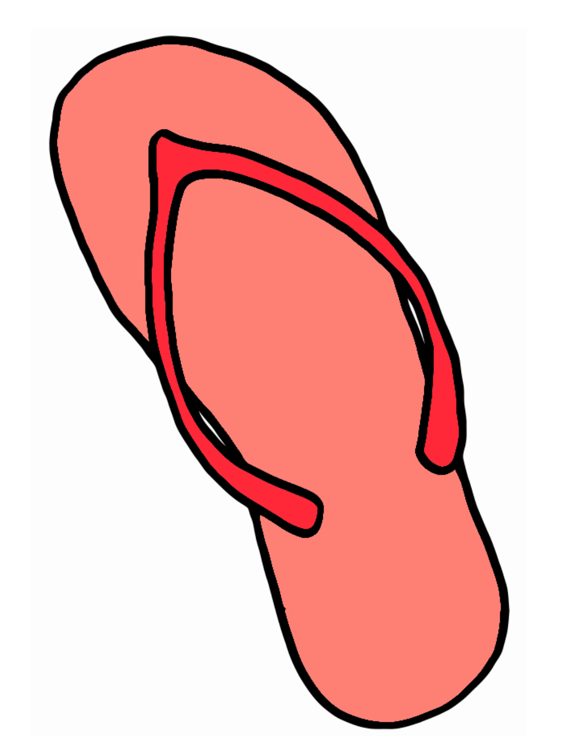![](_page_15_Picture_0.jpeg)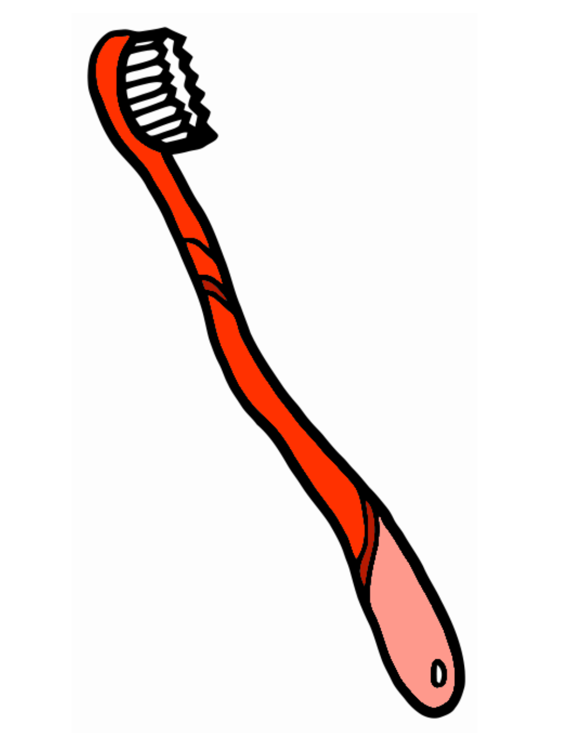![](_page_16_Picture_0.jpeg)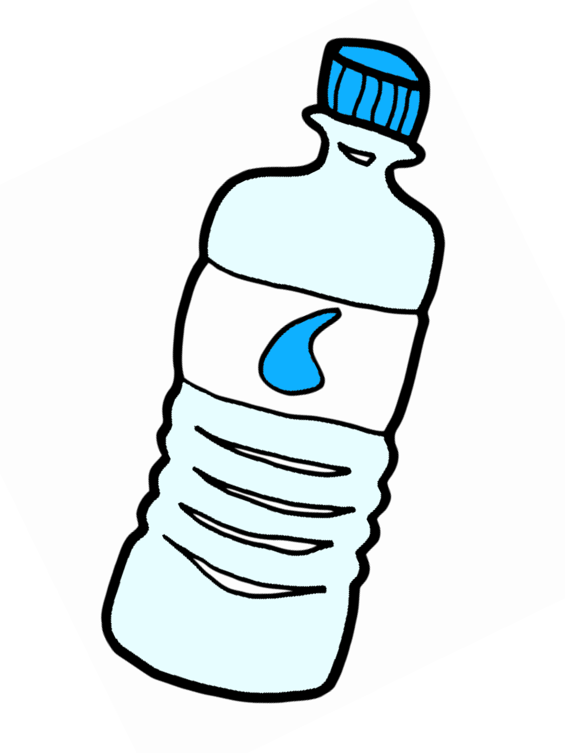![](_page_17_Picture_0.jpeg)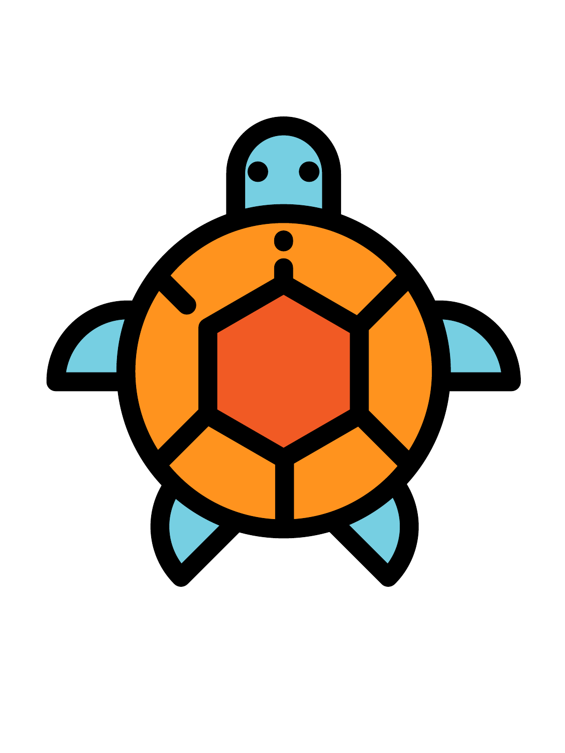![](_page_18_Picture_0.jpeg)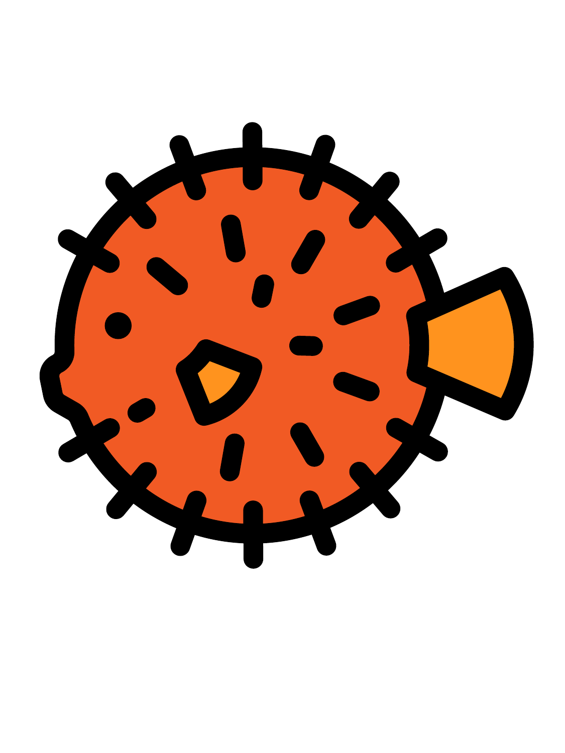![](_page_19_Picture_0.jpeg)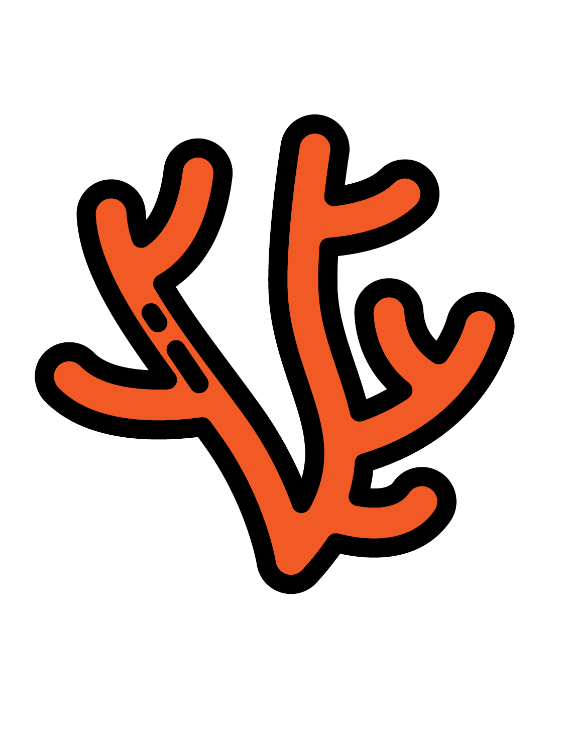![](_page_20_Picture_0.jpeg)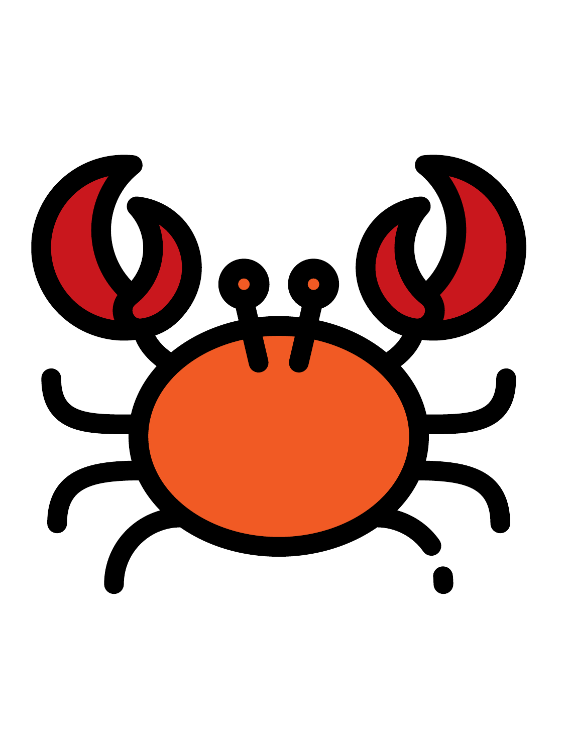![](_page_21_Picture_0.jpeg)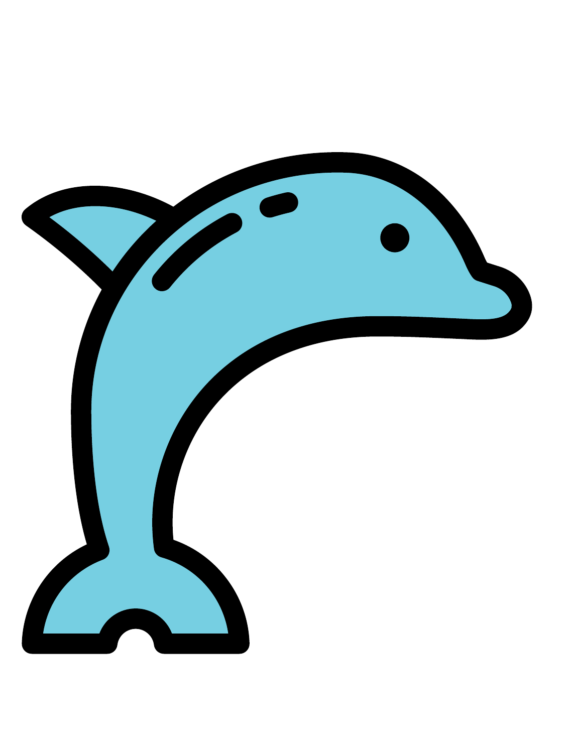![](_page_22_Picture_0.jpeg)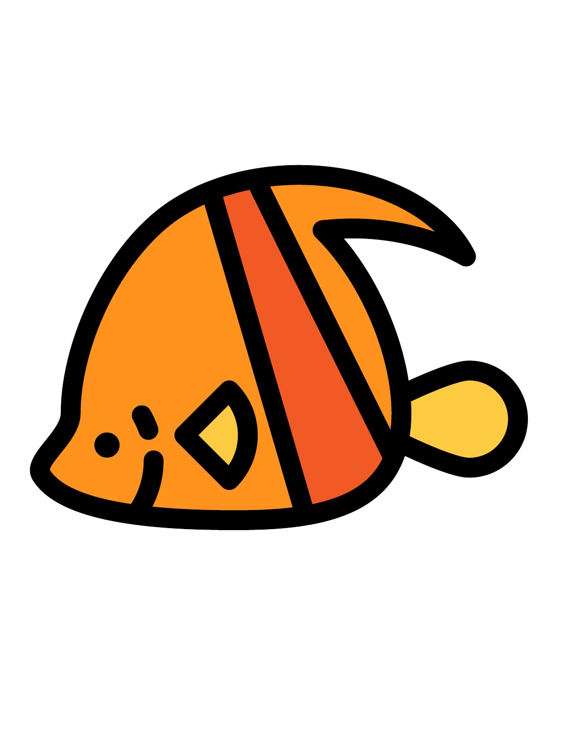![](_page_23_Picture_0.jpeg)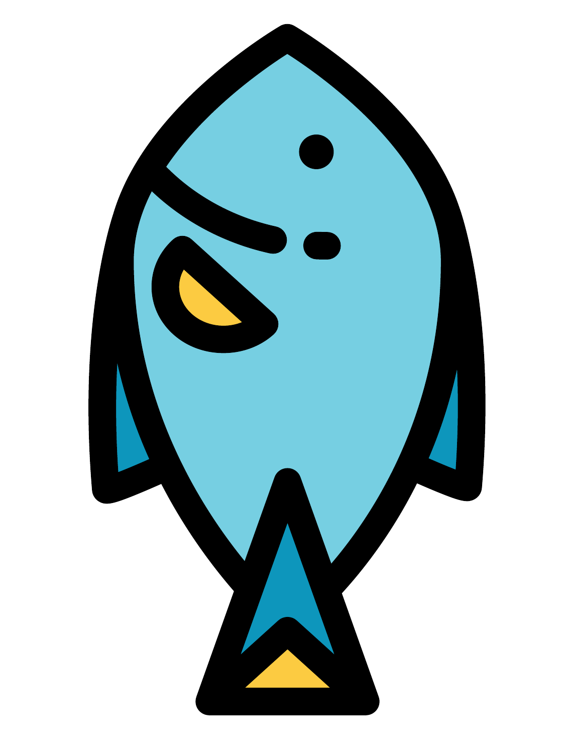![](_page_24_Picture_0.jpeg)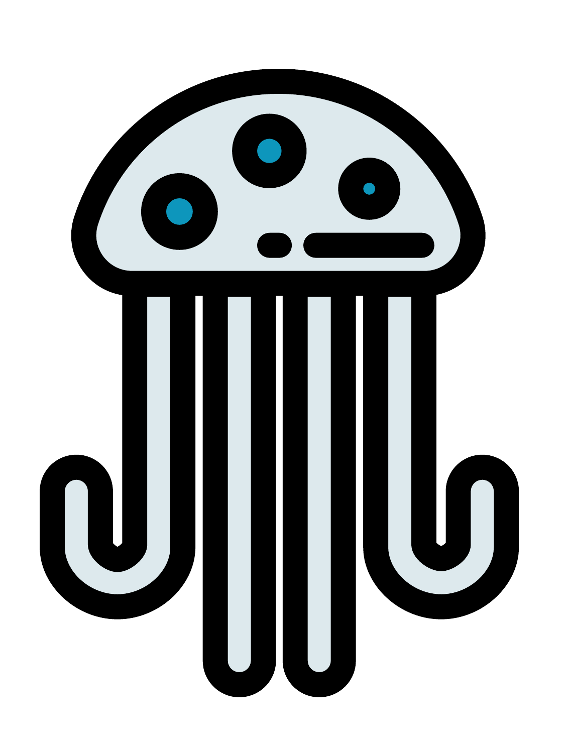![](_page_25_Picture_0.jpeg)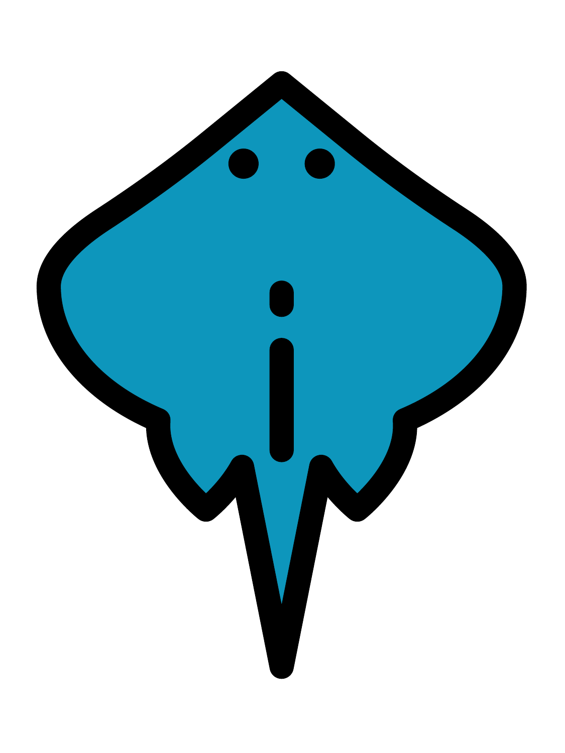![](_page_26_Picture_0.jpeg)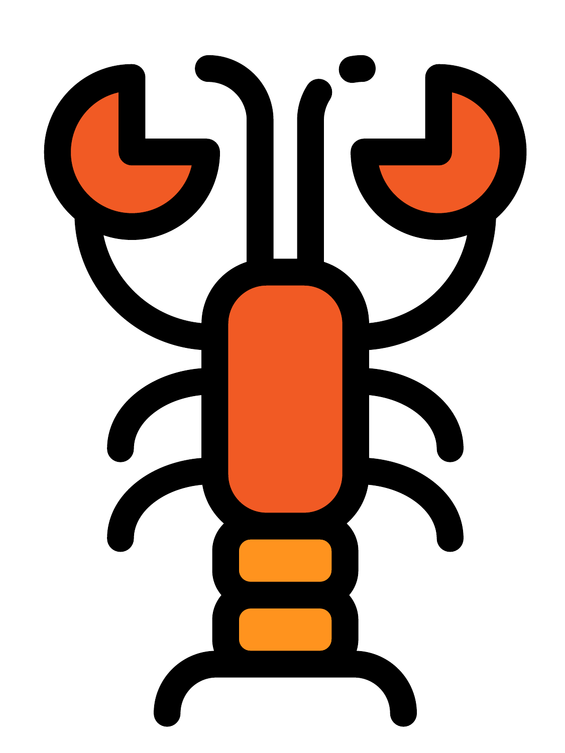![](_page_27_Picture_0.jpeg)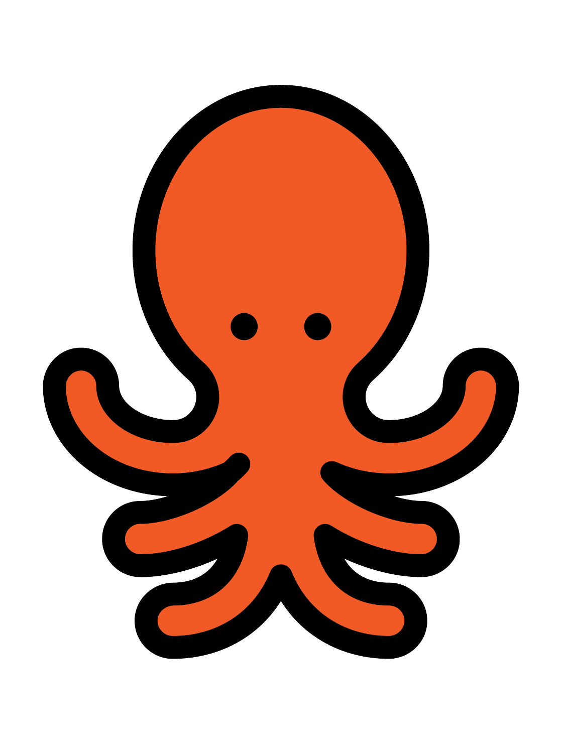![](_page_28_Picture_0.jpeg)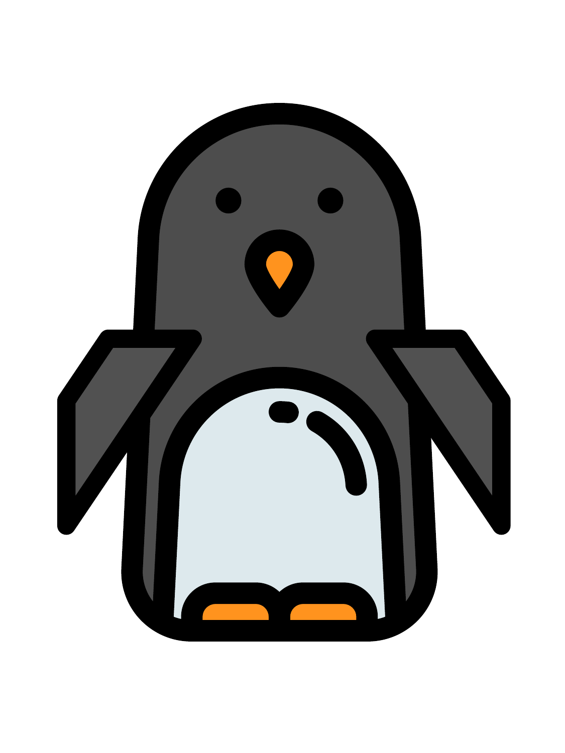![](_page_29_Picture_0.jpeg)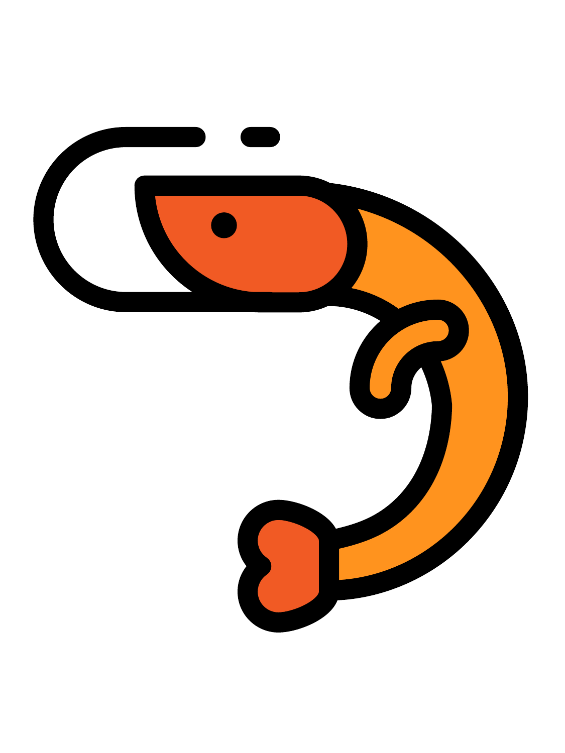![](_page_30_Picture_0.jpeg)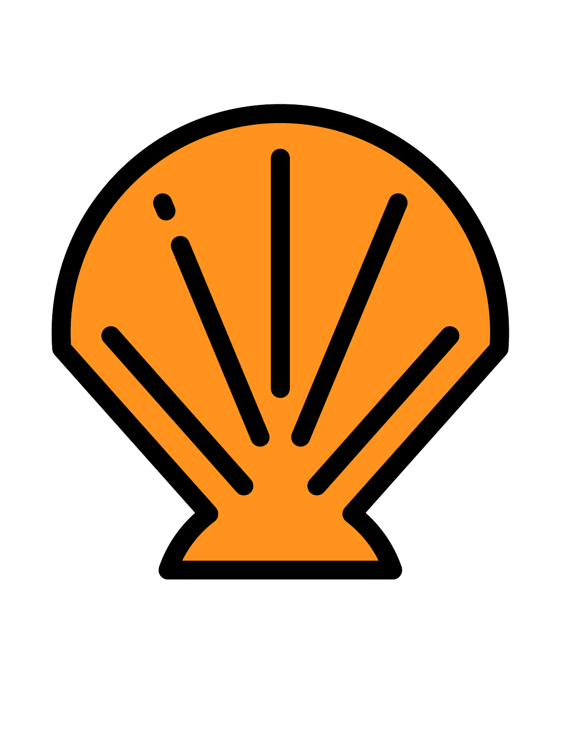![](_page_31_Picture_0.jpeg)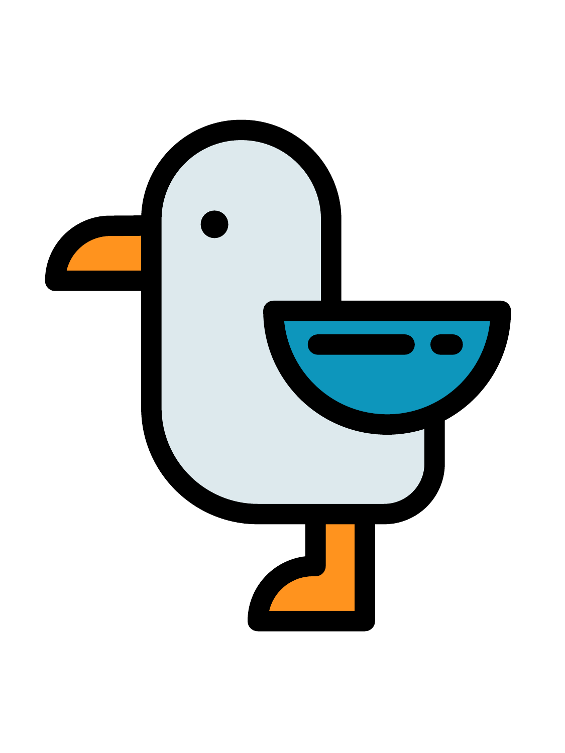![](_page_32_Picture_0.jpeg)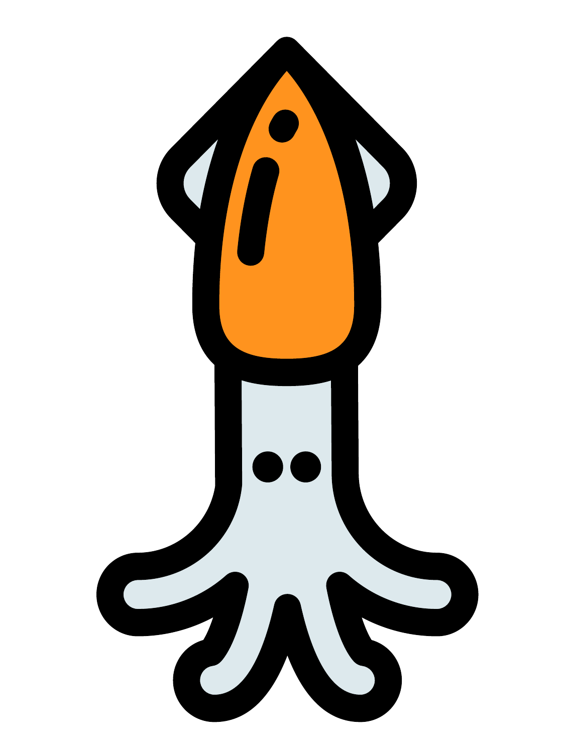![](_page_33_Picture_0.jpeg)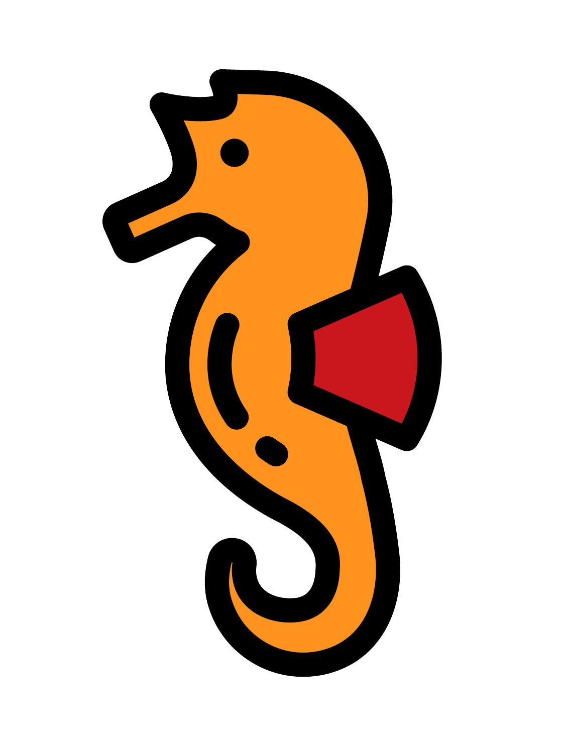![](_page_34_Picture_0.jpeg)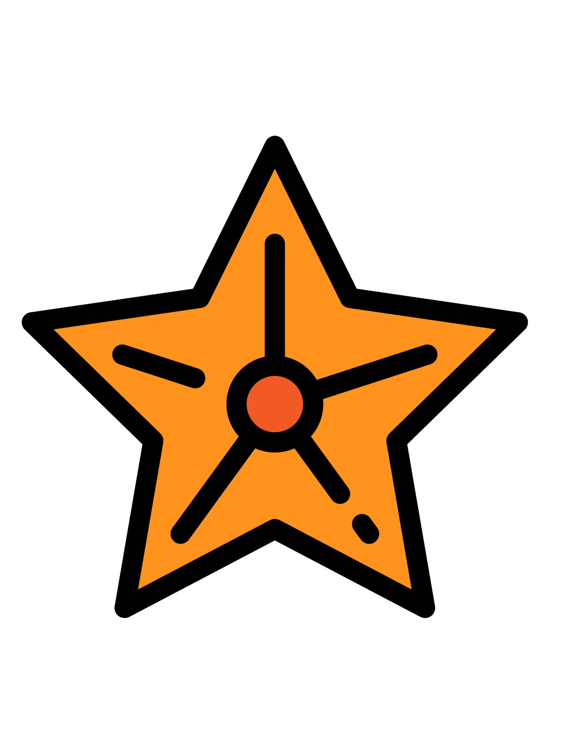![](_page_35_Picture_0.jpeg)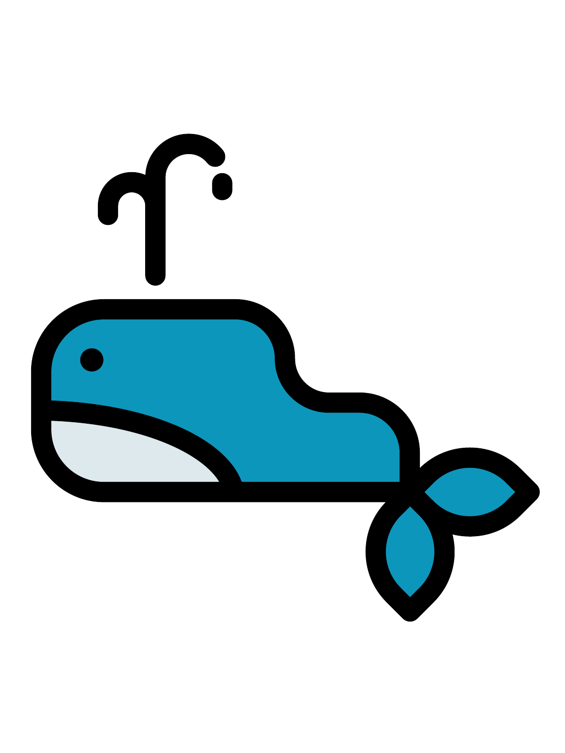![](_page_36_Picture_0.jpeg)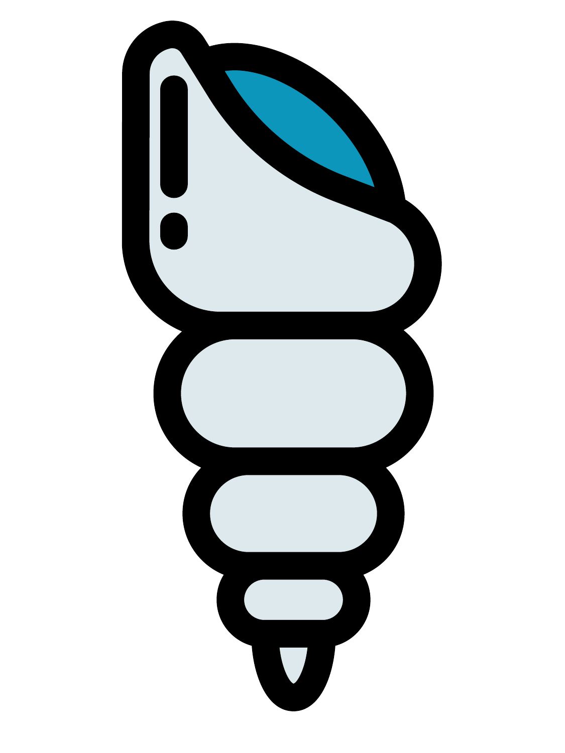![](_page_37_Picture_0.jpeg)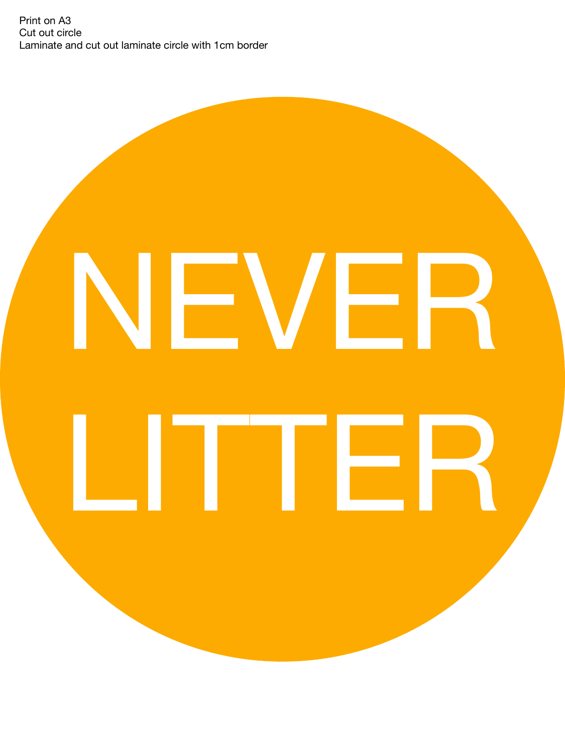Print on A3 Cut out circle Laminate and cut out laminate circle with 1cm border

![](_page_38_Picture_1.jpeg)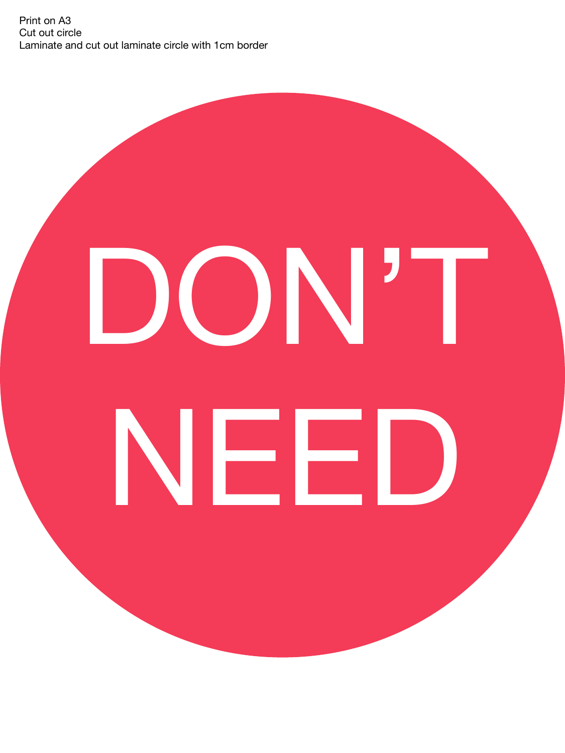Print on A3 Cut out circle Laminate and cut out laminate circle with 1cm border

![](_page_39_Picture_1.jpeg)